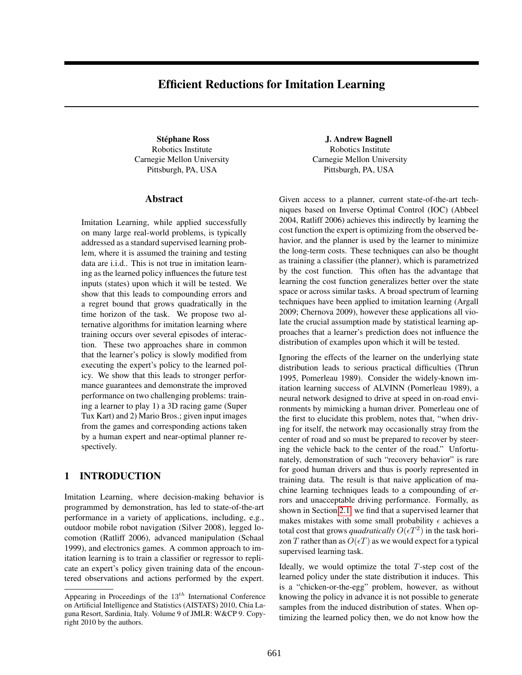# Efficient Reductions for Imitation Learning

Robotics Institute Carnegie Mellon University Pittsburgh, PA, USA

## Abstract

Imitation Learning, while applied successfully on many large real-world problems, is typically addressed as a standard supervised learning problem, where it is assumed the training and testing data are i.i.d.. This is not true in imitation learning as the learned policy influences the future test inputs (states) upon which it will be tested. We show that this leads to compounding errors and a regret bound that grows quadratically in the time horizon of the task. We propose two alternative algorithms for imitation learning where training occurs over several episodes of interaction. These two approaches share in common that the learner's policy is slowly modified from executing the expert's policy to the learned policy. We show that this leads to stronger performance guarantees and demonstrate the improved performance on two challenging problems: training a learner to play 1) a 3D racing game (Super Tux Kart) and 2) Mario Bros.; given input images from the games and corresponding actions taken by a human expert and near-optimal planner respectively.

## 1 INTRODUCTION

Imitation Learning, where decision-making behavior is programmed by demonstration, has led to state-of-the-art performance in a variety of applications, including, e.g., outdoor mobile robot navigation (Silver 2008), legged locomotion (Ratliff 2006), advanced manipulation (Schaal 1999), and electronics games. A common approach to imitation learning is to train a classifier or regressor to replicate an expert's policy given training data of the encountered observations and actions performed by the expert.

Stéphane Ross J. Andrew Bagnell Robotics Institute Carnegie Mellon University Pittsburgh, PA, USA

> Given access to a planner, current state-of-the-art techniques based on Inverse Optimal Control (IOC) (Abbeel 2004, Ratliff 2006) achieves this indirectly by learning the cost function the expert is optimizing from the observed behavior, and the planner is used by the learner to minimize the long-term costs. These techniques can also be thought as training a classifier (the planner), which is parametrized by the cost function. This often has the advantage that learning the cost function generalizes better over the state space or across similar tasks. A broad spectrum of learning techniques have been applied to imitation learning (Argall 2009; Chernova 2009), however these applications all violate the crucial assumption made by statistical learning approaches that a learner's prediction does not influence the distribution of examples upon which it will be tested.

> Ignoring the effects of the learner on the underlying state distribution leads to serious practical difficulties (Thrun 1995, Pomerleau 1989). Consider the widely-known imitation learning success of ALVINN (Pomerleau 1989), a neural network designed to drive at speed in on-road environments by mimicking a human driver. Pomerleau one of the first to elucidate this problem, notes that, "when driving for itself, the network may occasionally stray from the center of road and so must be prepared to recover by steering the vehicle back to the center of the road." Unfortunately, demonstration of such "recovery behavior" is rare for good human drivers and thus is poorly represented in training data. The result is that naive application of machine learning techniques leads to a compounding of errors and unacceptable driving performance. Formally, as shown in Section [2.1,](#page--1-0) we find that a supervised learner that makes mistakes with some small probability  $\epsilon$  achieves a total cost that grows *quadratically*  $O(\epsilon T^2)$  in the task horizon T rather than as  $O(\epsilon T)$  as we would expect for a typical supervised learning task.

> Ideally, we would optimize the total  $T$ -step cost of the learned policy under the state distribution it induces. This is a "chicken-or-the-egg" problem, however, as without knowing the policy in advance it is not possible to generate samples from the induced distribution of states. When optimizing the learned policy then, we do not know how the

Appearing in Proceedings of the  $13^{th}$  International Conference on Artificial Intelligence and Statistics (AISTATS) 2010, Chia Laguna Resort, Sardinia, Italy. Volume 9 of JMLR: W&CP 9. Copyright 2010 by the authors.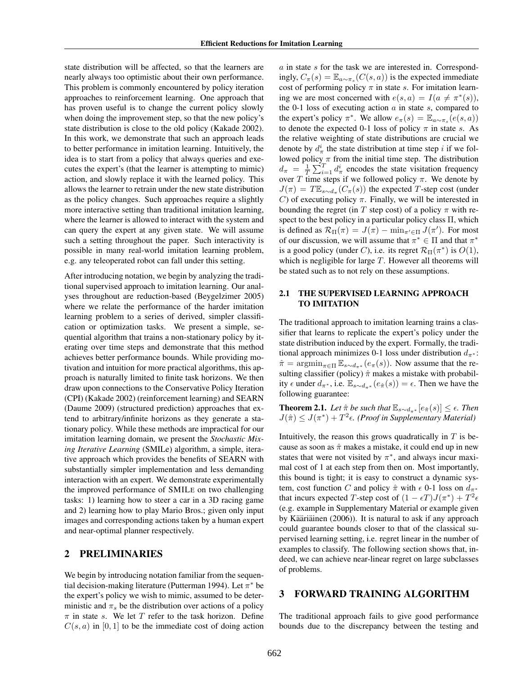state distribution will be affected, so that the learners are nearly always too optimistic about their own performance. This problem is commonly encountered by policy iteration approaches to reinforcement learning. One approach that has proven useful is to change the current policy slowly when doing the improvement step, so that the new policy's state distribution is close to the old policy (Kakade 2002). In this work, we demonstrate that such an approach leads to better performance in imitation learning. Intuitively, the idea is to start from a policy that always queries and executes the expert's (that the learner is attempting to mimic) action, and slowly replace it with the learned policy. This allows the learner to retrain under the new state distribution as the policy changes. Such approaches require a slightly more interactive setting than traditional imitation learning, where the learner is allowed to interact with the system and can query the expert at any given state. We will assume such a setting throughout the paper. Such interactivity is possible in many real-world imitation learning problem, e.g. any teleoperated robot can fall under this setting.

After introducing notation, we begin by analyzing the traditional supervised approach to imitation learning. Our analyses throughout are reduction-based (Beygelzimer 2005) where we relate the performance of the harder imitation learning problem to a series of derived, simpler classification or optimization tasks. We present a simple, sequential algorithm that trains a non-stationary policy by iterating over time steps and demonstrate that this method achieves better performance bounds. While providing motivation and intuition for more practical algorithms, this approach is naturally limited to finite task horizons. We then draw upon connections to the Conservative Policy Iteration (CPI) (Kakade 2002) (reinforcement learning) and SEARN (Daume 2009) (structured prediction) approaches that extend to arbitrary/infinite horizons as they generate a stationary policy. While these methods are impractical for our imitation learning domain, we present the *Stochastic Mixing Iterative Learning* (SMILe) algorithm, a simple, iterative approach which provides the benefits of SEARN with substantially simpler implementation and less demanding interaction with an expert. We demonstrate experimentally the improved performance of SMILE on two challenging tasks: 1) learning how to steer a car in a 3D racing game and 2) learning how to play Mario Bros.; given only input images and corresponding actions taken by a human expert and near-optimal planner respectively.

## 2 PRELIMINARIES

We begin by introducing notation familiar from the sequential decision-making literature (Putterman 1994). Let  $\pi^*$  be the expert's policy we wish to mimic, assumed to be deterministic and  $\pi_s$  be the distribution over actions of a policy  $\pi$  in state s. We let T refer to the task horizon. Define  $C(s, a)$  in [0, 1] to be the immediate cost of doing action a in state s for the task we are interested in. Correspondingly,  $C_{\pi}(s) = \mathbb{E}_{a \sim \pi_s}(C(s, a))$  is the expected immediate cost of performing policy  $\pi$  in state s. For imitation learning we are most concerned with  $e(s, a) = I(a \neq \pi^*(s)),$ the 0-1 loss of executing action  $a$  in state  $s$ , compared to the expert's policy  $\pi^*$ . We allow  $e_{\pi}(s) = \mathbb{E}_{a \sim \pi_s}(e(s, a))$ to denote the expected 0-1 loss of policy  $\pi$  in state s. As the relative weighting of state distributions are crucial we denote by  $d^i_\pi$  the state distribution at time step i if we followed policy  $\pi$  from the initial time step. The distribution  $d_{\pi} = \frac{1}{T} \sum_{i=1}^{T} d_{\pi}^{i}$  encodes the state visitation frequency over T time steps if we followed policy  $\pi$ . We denote by  $J(\pi) = T \mathbb{E}_{s \sim d_{\pi}}(C_{\pi}(s))$  the expected T-step cost (under C) of executing policy  $\pi$ . Finally, we will be interested in bounding the regret (in T step cost) of a policy  $\pi$  with respect to the best policy in a particular policy class  $\Pi$ , which is defined as  $\mathcal{R}_{\Pi}(\pi) = J(\pi) - \min_{\pi' \in \Pi} J(\pi')$ . For most of our discussion, we will assume that  $\pi^* \in \Pi$  and that  $\pi^*$ is a good policy (under C), i.e. its regret  $\mathcal{R}_{\Pi}(\pi^*)$  is  $O(1)$ , which is negligible for large  $T$ . However all theorems will be stated such as to not rely on these assumptions.

## 2.1 THE SUPERVISED LEARNING APPROACH TO IMITATION

The traditional approach to imitation learning trains a classifier that learns to replicate the expert's policy under the state distribution induced by the expert. Formally, the traditional approach minimizes 0-1 loss under distribution  $d_{\pi^*}$ :  $\hat{\pi} = \operatorname{argmin}_{\pi \in \Pi} \mathbb{E}_{s \sim d_{\pi^*}}(e_{\pi}(s)).$  Now assume that the resulting classifier (policy)  $\hat{\pi}$  makes a mistake with probability  $\epsilon$  under  $d_{\pi^*}$ , i.e.  $\mathbb{E}_{s \sim d_{\pi^*}}(e_{\hat{\pi}}(s)) = \epsilon$ . Then we have the following guarantee:

**Theorem 2.1.** *Let*  $\hat{\pi}$  *be such that*  $\mathbb{E}_{s \sim d_{\pi^*}}[e_{\hat{\pi}}(s)] \leq \epsilon$ . *Then*  $J(\hat{\pi}) \leq J(\pi^*) + T^2 \epsilon$ . (Proof in Supplementary Material)

Intuitively, the reason this grows quadratically in  $T$  is because as soon as  $\hat{\pi}$  makes a mistake, it could end up in new states that were not visited by  $\pi^*$ , and always incur maximal cost of 1 at each step from then on. Most importantly, this bound is tight; it is easy to construct a dynamic system, cost function C and policy  $\hat{\pi}$  with  $\epsilon$  0-1 loss on  $d_{\pi^*}$ that incurs expected T-step cost of  $(1 - \epsilon T)J(\pi^*) + T^2 \epsilon$ (e.g. example in Supplementary Material or example given by Kääriäinen  $(2006)$ ). It is natural to ask if any approach could guarantee bounds closer to that of the classical supervised learning setting, i.e. regret linear in the number of examples to classify. The following section shows that, indeed, we can achieve near-linear regret on large subclasses of problems.

## 3 FORWARD TRAINING ALGORITHM

The traditional approach fails to give good performance bounds due to the discrepancy between the testing and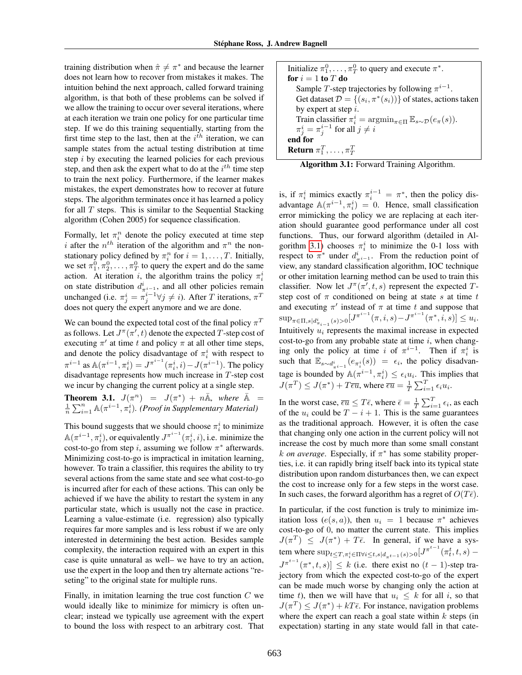training distribution when  $\hat{\pi} \neq \pi^*$  and because the learner does not learn how to recover from mistakes it makes. The intuition behind the next approach, called forward training algorithm, is that both of these problems can be solved if we allow the training to occur over several iterations, where at each iteration we train one policy for one particular time step. If we do this training sequentially, starting from the first time step to the last, then at the  $i<sup>th</sup>$  iteration, we can sample states from the actual testing distribution at time step  $i$  by executing the learned policies for each previous step, and then ask the expert what to do at the  $i^{th}$  time step to train the next policy. Furthermore, if the learner makes mistakes, the expert demonstrates how to recover at future steps. The algorithm terminates once it has learned a policy for all  $T$  steps. This is similar to the Sequential Stacking algorithm (Cohen 2005) for sequence classification.

Formally, let  $\pi_i^n$  denote the policy executed at time step i after the  $n^{th}$  iteration of the algorithm and  $\pi^n$  the nonstationary policy defined by  $\pi_i^n$  for  $i = 1, ..., T$ . Initially, we set  $\pi_1^0, \pi_2^0, \ldots, \pi_T^0$  to query the expert and do the same action. At iteration i, the algorithm trains the policy  $\pi_i^i$ on state distribution  $d_{\pi^{i-1}}^i$ , and all other policies remain unchanged (i.e.  $\pi_j^i = \pi_j^{i-1} \forall j \neq i$ ). After T iterations,  $\pi^T$ does not query the expert anymore and we are done.

We can bound the expected total cost of the final policy  $\pi^T$ as follows. Let  $J^{\pi}(\pi', t)$  denote the expected T-step cost of executing  $\pi'$  at time t and policy  $\pi$  at all other time steps, and denote the policy disadvantage of  $\pi_i^i$  with respect to  $\pi^{i-1}$  as  $\mathbb{A}(\pi^{i-1}, \pi_i^i) = J^{\pi^{i-1}}(\pi_i^i, i) - J(\pi^{i-1})$ . The policy disadvantage represents how much increase in T-step cost we incur by changing the current policy at a single step.

**Theorem 3.1.**  $J(\pi^n) = J(\pi^*) + n\overline{\mathbb{A}}$ , where  $\overline{\mathbb{A}} =$  $\frac{1}{n} \sum_{i=1}^{n} \mathbb{A}(\pi^{i-1}, \pi_i^i)$ . (Proof in Supplementary Material)

This bound suggests that we should choose  $\pi_i^i$  to minimize  $\mathbb{A}(\pi^{i-1}, \pi_i^i)$ , or equivalently  $J^{\pi^{i-1}}(\pi_i^i, i)$ , i.e. minimize the cost-to-go from step i, assuming we follow  $\pi^*$  afterwards. Minimizing cost-to-go is impractical in imitation learning, however. To train a classifier, this requires the ability to try several actions from the same state and see what cost-to-go is incurred after for each of these actions. This can only be achieved if we have the ability to restart the system in any particular state, which is usually not the case in practice. Learning a value-estimate (i.e. regression) also typically requires far more samples and is less robust if we are only interested in determining the best action. Besides sample complexity, the interaction required with an expert in this case is quite unnatural as well– we have to try an action, use the expert in the loop and then try alternate actions "reseting" to the original state for multiple runs.

Finally, in imitation learning the true cost function  $C$  we would ideally like to minimize for mimicry is often unclear; instead we typically use agreement with the expert to bound the loss with respect to an arbitrary cost. That

| Initialize $\pi_1^0, \ldots, \pi_T^0$ to query and execute $\pi^*$ .                                        |
|-------------------------------------------------------------------------------------------------------------|
| for $i=1$ to T do                                                                                           |
| Sample T-step trajectories by following $\pi^{i-1}$ .                                                       |
| Get dataset $\mathcal{D} = \{(s_i, \pi^*(s_i))\}$ of states, actions taken                                  |
| by expert at step $i$ .                                                                                     |
| Train classifier $\pi_i^i = \operatorname{argmin}_{\pi \in \Pi} \mathbb{E}_{s \sim \mathcal{D}}(e_\pi(s)).$ |
| $\pi^i_j = \pi^{i-1}_j$ for all $j \neq i$                                                                  |
| end for                                                                                                     |
| <b>Return</b> $\pi_1^T, \ldots, \pi_T^T$                                                                    |

<span id="page-2-0"></span>

| Algorithm 3.1: Forward Training Algorithm. |  |  |
|--------------------------------------------|--|--|
|                                            |  |  |

is, if  $\pi_i^i$  mimics exactly  $\pi_i^{i-1} = \pi^*$ , then the policy disadvantage  $\mathbb{A}(\pi^{i-1}, \pi_i^i) = 0$ . Hence, small classification error mimicking the policy we are replacing at each iteration should guarantee good performance under all cost functions. Thus, our forward algorithm (detailed in Al-gorithm [3.1\)](#page-2-0) chooses  $\pi_i^i$  to minimize the 0-1 loss with respect to  $\pi^*$  under  $d_{\pi^{i-1}}^i$ . From the reduction point of view, any standard classification algorithm, IOC technique or other imitation learning method can be used to train this classifier. Now let  $J^{\pi}(\pi', t, s)$  represent the expected Tstep cost of  $\pi$  conditioned on being at state s at time t and executing  $\pi'$  instead of  $\pi$  at time t and suppose that  $\sup_{\pi \in \Pi, s | d_{\pi_{i-1}}^i(s) > 0} [J^{\pi^{i-1}}(\pi, i, s) - J^{\pi^{i-1}}(\pi^*, i, s)] \le u_i.$ Intuitively  $u_i$  represents the maximal increase in expected cost-to-go from any probable state at time  $i$ , when changing only the policy at time i of  $\pi^{i-1}$ . Then if  $\pi_i^i$  is such that  $\mathbb{E}_{s \sim d_{\pi^{i-1}}^i}(e_{\pi_i^i}(s)) = \epsilon_i$ , the policy disadvantage is bounded by  $\mathbb{A}(\pi^{i-1}, \pi_i^i) \leq \epsilon_i u_i$ . This implies that  $J(\pi^T) \leq J(\pi^*) + T \overline{\epsilon u}$ , where  $\overline{\epsilon u} = \frac{1}{T} \sum_{i=1}^T \epsilon_i u_i$ .

In the worst case,  $\overline{\epsilon u} \leq T\overline{\epsilon}$ , where  $\overline{\epsilon} = \frac{1}{T} \sum_{i=1}^{T} \epsilon_i$ , as each of the  $u_i$  could be  $T - i + 1$ . This is the same guarantees as the traditional approach. However, it is often the case that changing only one action in the current policy will not increase the cost by much more than some small constant  $k$  *on average*. Especially, if  $\pi^*$  has some stability properties, i.e. it can rapidly bring itself back into its typical state distribution upon random disturbances then, we can expect the cost to increase only for a few steps in the worst case. In such cases, the forward algorithm has a regret of  $O(T\bar{\epsilon})$ .

In particular, if the cost function is truly to minimize imitation loss  $(e(s, a))$ , then  $u_i = 1$  because  $\pi^*$  achieves cost-to-go of 0, no matter the current state. This implies  $J(\pi^T) \leq J(\pi^*) + T\bar{\epsilon}$ . In general, if we have a system where  $\sup_{t\leq T, \pi_i^i\in \Pi \forall i\leq t, s|d_{\pi^{t-1}}(s)>0}[J^{\pi^{t-1}}(\pi_t^t, t, s) J^{\pi^{t-1}}(\pi^*, t, s)] \leq k$  (i.e. there exist no  $(t - 1)$ -step trajectory from which the expected cost-to-go of the expert can be made much worse by changing only the action at time t), then we will have that  $u_i \leq k$  for all i, so that  $J(\pi^T) \leq J(\pi^*) + kT\bar{\epsilon}$ . For instance, navigation problems where the expert can reach a goal state within  $k$  steps (in expectation) starting in any state would fall in that cate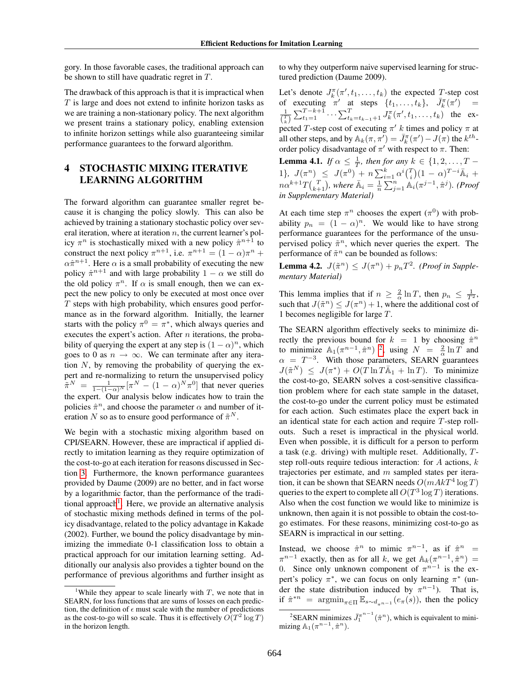gory. In those favorable cases, the traditional approach can be shown to still have quadratic regret in T.

The drawback of this approach is that it is impractical when  $T$  is large and does not extend to infinite horizon tasks as we are training a non-stationary policy. The next algorithm we present trains a stationary policy, enabling extension to infinite horizon settings while also guaranteeing similar performance guarantees to the forward algorithm.

## 4 STOCHASTIC MIXING ITERATIVE LEARNING ALGORITHM

The forward algorithm can guarantee smaller regret because it is changing the policy slowly. This can also be achieved by training a stationary stochastic policy over several iteration, where at iteration  $n$ , the current learner's policy  $\pi^n$  is stochastically mixed with a new policy  $\hat{\pi}^{n+1}$  to construct the next policy  $\pi^{n+1}$ , i.e.  $\pi^{n+1} = (1 - \alpha)\pi^n$  +  $\alpha \hat{\pi}^{n+1}$ . Here  $\alpha$  is a small probability of executing the new policy  $\hat{\pi}^{n+1}$  and with large probability  $1 - \alpha$  we still do the old policy  $\pi^n$ . If  $\alpha$  is small enough, then we can expect the new policy to only be executed at most once over  $T$  steps with high probability, which ensures good performance as in the forward algorithm. Initially, the learner starts with the policy  $\pi^0 = \pi^*$ , which always queries and executes the expert's action. After  $n$  iterations, the probability of querying the expert at any step is  $(1 - \alpha)^n$ , which goes to 0 as  $n \to \infty$ . We can terminate after any iteration  $N$ , by removing the probability of querying the expert and re-normalizing to return the unsupervised policy  $\tilde{\pi}^N = \frac{1}{1 - (1 - \alpha)^N} [\pi^N - (1 - \alpha)^N \pi^0]$  that never queries the expert. Our analysis below indicates how to train the policies  $\hat{\pi}^n$ , and choose the parameter  $\alpha$  and number of iteration N so as to ensure good performance of  $\tilde{\pi}^N$ .

We begin with a stochastic mixing algorithm based on CPI/SEARN. However, these are impractical if applied directly to imitation learning as they require optimization of the cost-to-go at each iteration for reasons discussed in Section [3.](#page--1-1) Furthermore, the known performance guarantees provided by Daume (2009) are no better, and in fact worse by a logarithmic factor, than the performance of the tradi-tional approach<sup>[1](#page-3-0)</sup>. Here, we provide an alternative analysis of stochastic mixing methods defined in terms of the policy disadvantage, related to the policy advantage in Kakade (2002). Further, we bound the policy disadvantage by minimizing the immediate 0-1 classification loss to obtain a practical approach for our imitation learning setting. Additionally our analysis also provides a tighter bound on the performance of previous algorithms and further insight as to why they outperform naive supervised learning for structured prediction (Daume 2009).

Let's denote  $J_k^{\pi}(\pi', t_1, \ldots, t_k)$  the expected T-step cost Let's defined  $J_k(n, t_1, \ldots, t_k)$  the expected T-step cost<br>of executing  $\pi'$  at steps  $\{t_1, \ldots, t_k\}$ ,  $\bar{J}_k^{\pi}(\pi') =$  $\frac{1}{\binom{T}{k}} \sum_{t_1=1}^{T-k+1} \cdots \sum_{t_k=t_{k-1}+1}^{T} J_k^{\pi}(\pi', t_1, \ldots, t_k)$  the expected T-step cost of executing  $\pi'$  k times and policy  $\pi$  at all other steps, and by  $\mathbb{A}_k(\pi, \pi') = \bar{J}_k^{\pi}(\pi') - \bar{J}(\pi)$  the  $k^{th}$ order policy disadvantage of  $\pi'$  with respect to  $\pi$ . Then:

**Lemma 4.1.** *If*  $\alpha \leq \frac{1}{T}$ , *then for any*  $k \in \{1, 2, ..., T -$ 1},  $J(\pi^n) \leq J(\pi^0) + n \sum_{i=1}^k \alpha^i {T \choose i} (1 - \alpha)^{T-i} \bar{A}_i +$  $n\alpha^{k+1}T\binom{T}{k+1}$ , where  $\bar{\mathbb{A}}_i=\frac{1}{n}\sum_{j=1}^n\mathbb{A}_i(\pi^{j-1},\hat{\pi}^j)$ . (Proof *in Supplementary Material)*

At each time step  $\pi^n$  chooses the expert  $(\pi^0)$  with probability  $p_n = (1 - \alpha)^n$ . We would like to have strong performance guarantees for the performance of the unsupervised policy  $\tilde{\pi}^n$ , which never queries the expert. The performance of  $\tilde{\pi}^n$  can be bounded as follows:

**Lemma 4.2.**  $J(\tilde{\pi}^n) \leq J(\pi^n) + p_n T^2$ . (*Proof in Supplementary Material)*

This lemma implies that if  $n \geq \frac{2}{\alpha} \ln T$ , then  $p_n \leq \frac{1}{T^2}$ , such that  $J(\tilde{\pi}^n) \leq J(\pi^n) + 1$ , where the additional cost of 1 becomes negligible for large T.

The SEARN algorithm effectively seeks to minimize directly the previous bound for  $k = 1$  by choosing  $\hat{\pi}^n$ to minimize  $\mathbb{A}_1(\pi^{n-1}, \hat{\pi}^n)$  <sup>[2](#page-3-1)</sup>, using  $N = \frac{2}{\alpha} \ln T$  and  $\alpha = T^{-3}$ . With those parameters, SEARN guarantees  $J(\tilde{\pi}^N) \leq J(\pi^*) + O(T \ln T \bar{\mathbb{A}}_1 + \ln T)$ . To minimize the cost-to-go, SEARN solves a cost-sensitive classification problem where for each state sample in the dataset, the cost-to-go under the current policy must be estimated for each action. Such estimates place the expert back in an identical state for each action and require T-step rollouts. Such a reset is impractical in the physical world. Even when possible, it is difficult for a person to perform a task (e.g. driving) with multiple reset. Additionally, Tstep roll-outs require tedious interaction: for  $A$  actions,  $k$ trajectories per estimate, and  $m$  sampled states per iteration, it can be shown that SEARN needs  $O(mAkT^4 \log T)$ queries to the expert to complete all  $O(T^3 \log T)$  iterations. Also when the cost function we would like to minimize is unknown, then again it is not possible to obtain the cost-togo estimates. For these reasons, minimizing cost-to-go as SEARN is impractical in our setting.

Instead, we choose  $\hat{\pi}^n$  to mimic  $\pi^{n-1}$ , as if  $\hat{\pi}^n$  =  $\pi^{n-1}$  exactly, then as for all k, we get  $\mathbb{A}_k(\pi^{n-1}, \hat{\pi}^n)$  = 0. Since only unknown component of  $\pi^{n-1}$  is the expert's policy  $\pi^*$ , we can focus on only learning  $\pi^*$  (under the state distribution induced by  $\pi^{n-1}$ ). That is, if  $\hat{\pi}^{*n}$  =  $\operatorname{argmin}_{\pi \in \Pi} \mathbb{E}_{s \sim d_{\pi^{n-1}}}(e_{\pi}(s))$ , then the policy

<span id="page-3-0"></span><sup>&</sup>lt;sup>1</sup>While they appear to scale linearly with  $T$ , we note that in SEARN, for loss functions that are sums of losses on each prediction, the definition of  $\epsilon$  must scale with the number of predictions as the cost-to-go will so scale. Thus it is effectively  $\tilde{O(T^2 \log T)}$ in the horizon length.

<span id="page-3-1"></span><sup>&</sup>lt;sup>2</sup>SEARN minimizes  $\bar{J}_1^{\pi^{n-1}}(\hat{\pi}^n)$ , which is equivalent to minimizing  $\mathbb{A}_1(\pi^{n-1}, \hat{\pi}^n)$ .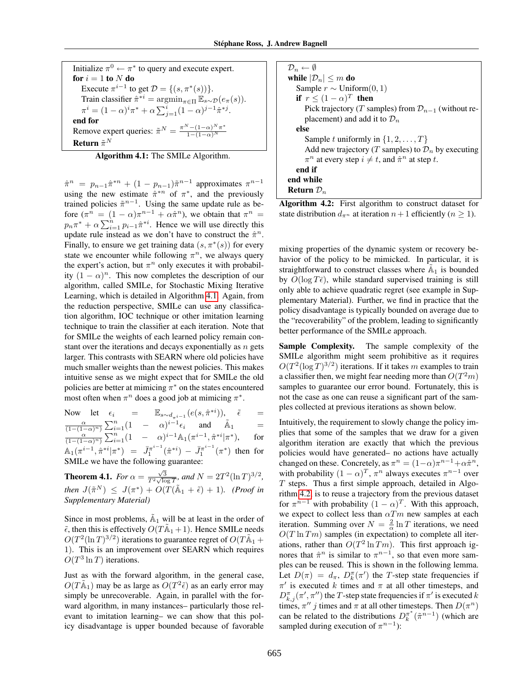Initialize  $\pi^0 \leftarrow \pi^*$  to query and execute expert. for  $i = 1$  to  $N$  do Execute  $\pi^{i-1}$  to get  $\mathcal{D} = \{(s, \pi^*(s))\}.$ Train classifier  $\hat{\pi}^{*i} = \operatorname{argmin}_{\pi \in \Pi} \mathbb{E}_{s \sim \mathcal{D}}(e_{\pi}(s)).$  $\pi^i = (1 - \alpha)^i \pi^* + \alpha \sum_{j=1}^i (1 - \alpha)^{j-1} \hat{\pi}^{*j}.$ end for Remove expert queries:  $\tilde{\pi}^N = \frac{\pi^N - (1 - \alpha)^N \pi^*}{1 - (1 - \alpha)^N}$  $1-(1-\alpha)^N$ Return  $\tilde{\pi}^N$ 

<span id="page-4-0"></span>Algorithm 4.1: The SMILe Algorithm.

 $\hat{\pi}^n = p_{n-1}\hat{\pi}^{*n} + (1 - p_{n-1})\tilde{\pi}^{n-1}$  approximates  $\pi^{n-1}$ using the new estimate  $\hat{\pi}^{*n}$  of  $\pi^*$ , and the previously trained policies  $\tilde{\pi}^{n-1}$ . Using the same update rule as before  $(\pi^n = (1 - \alpha)\pi^{n-1} + \alpha \hat{\pi}^n)$ , we obtain that  $\pi^n =$  $p_n \pi^* + \alpha \sum_{i=1}^n p_{i-1} \hat{\pi}^{*i}$ . Hence we will use directly this update rule instead as we don't have to construct the  $\hat{\pi}^n$ . Finally, to ensure we get training data  $(s, \pi^*(s))$  for every state we encounter while following  $\pi^n$ , we always query the expert's action, but  $\pi^n$  only executes it with probability  $(1 - \alpha)^n$ . This now completes the description of our algorithm, called SMILe, for Stochastic Mixing Iterative Learning, which is detailed in Algorithm [4.1.](#page-4-0) Again, from the reduction perspective, SMILe can use any classification algorithm, IOC technique or other imitation learning technique to train the classifier at each iteration. Note that for SMILe the weights of each learned policy remain constant over the iterations and decays exponentially as  $n$  gets larger. This contrasts with SEARN where old policies have much smaller weights than the newest policies. This makes intuitive sense as we might expect that for SMILe the old policies are better at mimicing  $\pi^*$  on the states encountered most often when  $\pi^n$  does a good job at mimicing  $\pi^*$ .

Now let  $\epsilon_i$  =  $\mathbb{E}_{s \sim d_{\pi^{i-1}}} (e(s, \hat{\pi}^{*i})), \hat{\epsilon}$  =  $\frac{\alpha}{(1-(1-\alpha)^n)}\sum_{i=1}^n(1-\alpha)^{i-1}\epsilon_i$  and  $\tilde{\mathbb{A}}_1$  =  $\frac{\alpha}{(1-(1-\alpha)^n)}\sum_{i=1}^n (1 - \alpha)^{i-1} \mathbb{A}_1(\pi^{i-1}, \hat{\pi}^{*i} | \pi^*).$ ), for  $\mathbb{A}_1(\pi^{i-1}, \hat{\pi}^{*i} | \pi^*) = \bar{J}_1^{\pi^{i-1}}(\hat{\pi}^{*i}) - \bar{J}_1^{\pi^{i-1}}(\pi^*)$  then for SMILe we have the following guarantee:

**Theorem 4.1.** *For*  $\alpha = \frac{\sqrt{3}}{T^2 \sqrt{\log T}}$ *, and*  $N = 2T^2(\ln T)^{3/2}$ *,*  $then \, J(\tilde{\pi}^N) \, \leq \, J(\pi^*) + O(T(\tilde{\mathbb{A}}_1 + \tilde{\epsilon}) + 1)$ *.* (*Proof in Supplementary Material)*

Since in most problems,  $\tilde{A}_1$  will be at least in the order of  $\tilde{\epsilon}$ , then this is effectively  $O(T\tilde{A}_1 + 1)$ . Hence SMILe needs  $O(T^2(\ln T)^{3/2})$  iterations to guarantee regret of  $O(T\tilde{A}_1 +$ 1). This is an improvement over SEARN which requires  $O(T^3 \ln T)$  iterations.

Just as with the forward algorithm, in the general case,  $O(T\tilde{\mathbb{A}}_1)$  may be as large as  $O(T^2\tilde{\epsilon})$  as an early error may simply be unrecoverable. Again, in parallel with the forward algorithm, in many instances– particularly those relevant to imitation learning– we can show that this policy disadvantage is upper bounded because of favorable

| $\mathcal{D}_n \leftarrow \emptyset$                                   |
|------------------------------------------------------------------------|
| while $ \mathcal{D}_n  \leq m$ do                                      |
| Sample $r \sim$ Uniform $(0, 1)$                                       |
| if $r \leq (1 - \alpha)^T$ then                                        |
| Pick trajectory (T samples) from $\mathcal{D}_{n-1}$ (without re-      |
| placement) and add it to $\mathcal{D}_n$                               |
| else                                                                   |
| Sample t uniformly in $\{1, 2, , T\}$                                  |
| Add new trajectory (T samples) to $\mathcal{D}_n$ by executing         |
| $\pi^n$ at every step $i \neq t$ , and $\hat{\pi}^n$ at step t.        |
| end if                                                                 |
| end while                                                              |
| Return $\mathcal{D}_n$                                                 |
| $\sim$<br>$\sim$<br>$\cdot$ .<br>$\overline{\phantom{a}}$<br>л.<br>. . |

<span id="page-4-1"></span>Algorithm 4.2: First algorithm to construct dataset for state distribution  $d_{\pi^n}$  at iteration  $n+1$  efficiently  $(n \geq 1)$ .

mixing properties of the dynamic system or recovery behavior of the policy to be mimicked. In particular, it is straightforward to construct classes where  $\tilde{A}_1$  is bounded by  $O(\log T\bar{\epsilon})$ , while standard supervised training is still only able to achieve quadratic regret (see example in Supplementary Material). Further, we find in practice that the policy disadvantage is typically bounded on average due to the "recoverability" of the problem, leading to significantly better performance of the SMILe approach.

Sample Complexity. The sample complexity of the SMILe algorithm might seem prohibitive as it requires  $O(T^2(\log T)^{3/2})$  iterations. If it takes m examples to train a classifier then, we might fear needing more than  $O(T^2m)$ samples to guarantee our error bound. Fortunately, this is not the case as one can reuse a significant part of the samples collected at previous iterations as shown below.

Intuitively, the requirement to slowly change the policy implies that some of the samples that we draw for a given algorithm iteration are exactly that which the previous policies would have generated– no actions have actually changed on these. Concretely, as  $\pi^n = (1-\alpha)\pi^{n-1} + \alpha \hat{\pi}^n$ , with probability  $(1 - \alpha)^T$ ,  $\pi^n$  always executes  $\pi^{n-1}$  over  $T$  steps. Thus a first simple approach, detailed in Algorithm [4.2,](#page-4-1) is to reuse a trajectory from the previous dataset for  $\pi^{n-1}$  with probability  $(1 - \alpha)^T$ . With this approach, we expect to collect less than  $\alpha Tm$  new samples at each iteration. Summing over  $N = \frac{2}{\alpha} \ln T$  iterations, we need  $O(T \ln Tm)$  samples (in expectation) to complete all iterations, rather than  $O(T^2 \ln Tm)$ . This first approach ignores that  $\hat{\pi}^n$  is similar to  $\pi^{n-1}$ , so that even more samples can be reused. This is shown in the following lemma. Let  $D(\pi) = d_{\pi}$ ,  $D_k^{\pi}(\pi')$  the T-step state frequencies if  $\pi'$  is executed k times and  $\pi$  at all other timesteps, and  $D_{k,j}^{\pi}(\pi', \pi'')$  the T-step state frequencies if  $\pi'$  is executed k times,  $\pi''$  *j* times and  $\pi$  at all other timesteps. Then  $D(\pi^n)$ can be related to the distributions  $D_k^{\pi^*}(\tilde{\pi}^{n-1})$  (which are sampled during execution of  $\pi^{n-1}$ ):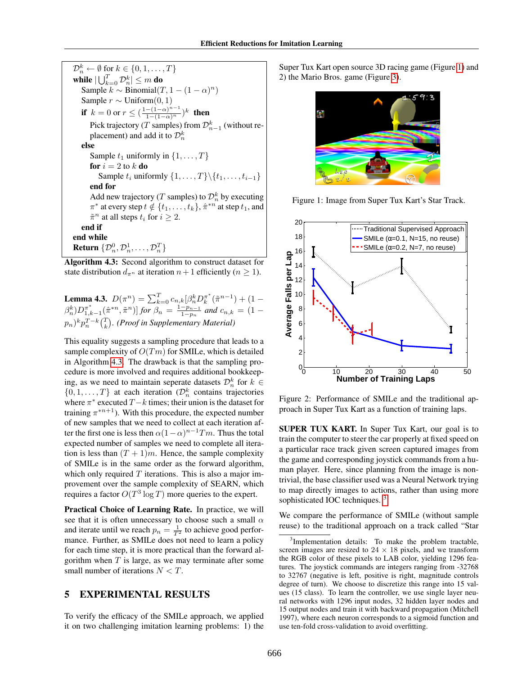| $\mathcal{D}_n^k \leftarrow \emptyset$ for $k \in \{0, 1, \ldots, T\}$                    |
|-------------------------------------------------------------------------------------------|
| while $ \bigcup_{k=0}^T \mathcal{D}_n^k  \leq m$ do                                       |
| Sample $k \sim Binomial(T, 1 - (1 - \alpha)^n)$                                           |
| Sample $r \sim$ Uniform $(0, 1)$                                                          |
| if $k = 0$ or $r \le (\frac{1-(1-\alpha)^{n-1}}{1-(1-\alpha)^n})^k$ then                  |
| Pick trajectory (T samples) from $\mathcal{D}_{n-1}^k$ (without re-                       |
| placement) and add it to $\mathcal{D}_n^k$                                                |
| else                                                                                      |
| Sample $t_1$ uniformly in $\{1, \ldots, T\}$                                              |
| for $i=2$ to k do                                                                         |
| Sample $t_i$ uniformly $\{1, \ldots, T\} \setminus \{t_1, \ldots, t_{i-1}\}\$             |
| end for                                                                                   |
| Add new trajectory (T samples) to $\mathcal{D}_n^k$ by executing                          |
| $\pi^*$ at every step $t \notin \{t_1, \ldots, t_k\}, \hat{\pi}^{*n}$ at step $t_1$ , and |
| $\tilde{\pi}^n$ at all steps $t_i$ for $i \geq 2$ .                                       |
| end if                                                                                    |
| end while                                                                                 |
| <b>Return</b> $\{\mathcal{D}_n^0, \mathcal{D}_n^1, \dots, \mathcal{D}_n^T\}$              |

<span id="page-5-0"></span>Algorithm 4.3: Second algorithm to construct dataset for state distribution  $d_{\pi^n}$  at iteration  $n+1$  efficiently  $(n \geq 1)$ .

**Lemma 4.3.**  $D(\pi^n) = \sum_{k=0}^{T} c_{n,k} [\beta_n^k D_k^{\pi^*}(\tilde{\pi}^{n-1}) + (1 \beta_n^k)D_{1,k-1}^{\pi^*}(\hat{\pi}^{*n},\tilde{\pi}^n)]$  for  $\beta_n=\frac{1-p_{n-1}}{1-p_n}$  $\frac{-p_{n-1}}{1-p_n}$  and  $c_{n,k} = (1 (p_n)^k p_n^{T-k} \binom{T}{k}$ . (Proof in Supplementary Material)

This equality suggests a sampling procedure that leads to a sample complexity of  $O(Tm)$  for SMILe, which is detailed in Algorithm [4.3.](#page-5-0) The drawback is that the sampling procedure is more involved and requires additional bookkeeping, as we need to maintain seperate datasets  $\mathcal{D}_n^k$  for  $k \in$  $\{0, 1, \ldots, T\}$  at each iteration  $(\mathcal{D}_n^k$  contains trajectories where  $\pi^*$  executed  $T - k$  times; their union is the dataset for training  $\pi^{*n+1}$ ). With this procedure, the expected number of new samples that we need to collect at each iteration after the first one is less then  $\alpha(1-\alpha)^{n-1}Tm$ . Thus the total expected number of samples we need to complete all iteration is less than  $(T + 1)m$ . Hence, the sample complexity of SMILe is in the same order as the forward algorithm, which only required  $T$  iterations. This is also a major improvement over the sample complexity of SEARN, which requires a factor  $O(T^3 \log T)$  more queries to the expert.

Practical Choice of Learning Rate. In practice, we will see that it is often unnecessary to choose such a small  $\alpha$ and iterate until we reach  $p_n = \frac{1}{T^2}$  to achieve good performance. Further, as SMILe does not need to learn a policy for each time step, it is more practical than the forward algorithm when  $T$  is large, as we may terminate after some small number of iterations  $N < T$ .

## 5 EXPERIMENTAL RESULTS

To verify the efficacy of the SMILe approach, we applied it on two challenging imitation learning problems: 1) the Super Tux Kart open source 3D racing game (Figure [1\)](#page-5-1) and 2) the Mario Bros. game (Figure [3\)](#page--1-2).



Figure 1: Image from Super Tux Kart's Star Track.

<span id="page-5-1"></span>

Figure 2: Performance of SMILe and the traditional approach in Super Tux Kart as a function of training laps.

SUPER TUX KART. In Super Tux Kart, our goal is to train the computer to steer the car properly at fixed speed on a particular race track given screen captured images from the game and corresponding joystick commands from a human player. Here, since planning from the image is nontrivial, the base classifier used was a Neural Network trying to map directly images to actions, rather than using more sophisticated IOC techniques.<sup>[3](#page-5-2)</sup>

We compare the performance of SMILe (without sample reuse) to the traditional approach on a track called "Star

<span id="page-5-2"></span><sup>&</sup>lt;sup>3</sup>Implementation details: To make the problem tractable, screen images are resized to  $24 \times 18$  pixels, and we transform the RGB color of these pixels to LAB color, yielding 1296 features. The joystick commands are integers ranging from -32768 to 32767 (negative is left, positive is right, magnitude controls degree of turn). We choose to discretize this range into 15 values (15 class). To learn the controller, we use single layer neural networks with 1296 input nodes, 32 hidden layer nodes and 15 output nodes and train it with backward propagation (Mitchell 1997), where each neuron corresponds to a sigmoid function and use ten-fold cross-validation to avoid overfitting.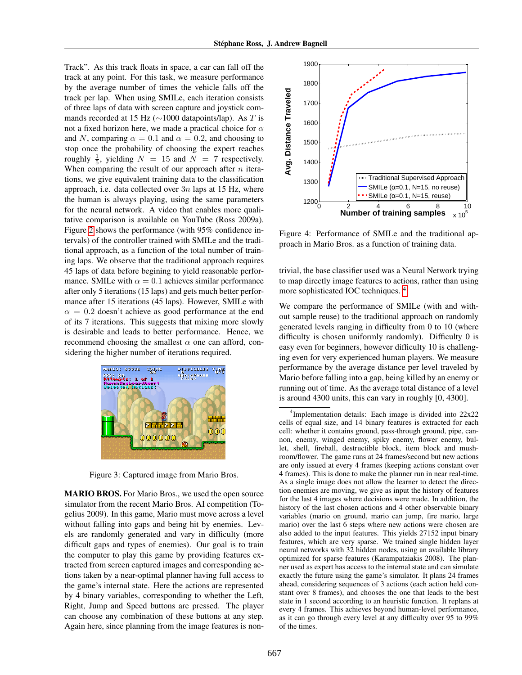Track". As this track floats in space, a car can fall off the track at any point. For this task, we measure performance by the average number of times the vehicle falls off the track per lap. When using SMILe, each iteration consists of three laps of data with screen capture and joystick commands recorded at 15 Hz ( $\sim$ 1000 datapoints/lap). As T is not a fixed horizon here, we made a practical choice for  $\alpha$ and N, comparing  $\alpha = 0.1$  and  $\alpha = 0.2$ , and choosing to stop once the probability of choosing the expert reaches roughly  $\frac{1}{5}$ , yielding  $N = 15$  and  $N = 7$  respectively. When comparing the result of our approach after  $n$  iterations, we give equivalent training data to the classification approach, i.e. data collected over  $3n$  laps at 15 Hz, where the human is always playing, using the same parameters for the neural network. A video that enables more qualitative comparison is available on YouTube (Ross 2009a). Figure [2](#page--1-3) shows the performance (with 95% confidence intervals) of the controller trained with SMILe and the traditional approach, as a function of the total number of training laps. We observe that the traditional approach requires 45 laps of data before begining to yield reasonable performance. SMILe with  $\alpha = 0.1$  achieves similar performance after only 5 iterations (15 laps) and gets much better performance after 15 iterations (45 laps). However, SMILe with  $\alpha = 0.2$  doesn't achieve as good performance at the end of its 7 iterations. This suggests that mixing more slowly is desirable and leads to better performance. Hence, we recommend choosing the smallest  $\alpha$  one can afford, considering the higher number of iterations required.



Figure 3: Captured image from Mario Bros.

MARIO BROS. For Mario Bros., we used the open source simulator from the recent Mario Bros. AI competition (Togelius 2009). In this game, Mario must move across a level without falling into gaps and being hit by enemies. Levels are randomly generated and vary in difficulty (more difficult gaps and types of enemies). Our goal is to train the computer to play this game by providing features extracted from screen captured images and corresponding actions taken by a near-optimal planner having full access to the game's internal state. Here the actions are represented by 4 binary variables, corresponding to whether the Left, Right, Jump and Speed buttons are pressed. The player can choose any combination of these buttons at any step. Again here, since planning from the image features is non-



Figure 4: Performance of SMILe and the traditional approach in Mario Bros. as a function of training data.

trivial, the base classifier used was a Neural Network trying to map directly image features to actions, rather than using more sophisticated IOC techniques. [4](#page-6-0)

We compare the performance of SMILe (with and without sample reuse) to the traditional approach on randomly generated levels ranging in difficulty from 0 to 10 (where difficulty is chosen uniformly randomly). Difficulty 0 is easy even for beginners, however difficulty 10 is challenging even for very experienced human players. We measure performance by the average distance per level traveled by Mario before falling into a gap, being killed by an enemy or running out of time. As the average total distance of a level is around 4300 units, this can vary in roughly [0, 4300].

<span id="page-6-0"></span><sup>&</sup>lt;sup>4</sup>Implementation details: Each image is divided into 22x22 cells of equal size, and 14 binary features is extracted for each cell: whether it contains ground, pass-through ground, pipe, cannon, enemy, winged enemy, spiky enemy, flower enemy, bullet, shell, fireball, destructible block, item block and mushroom/flower. The game runs at 24 frames/second but new actions are only issued at every 4 frames (keeping actions constant over 4 frames). This is done to make the planner run in near real-time. As a single image does not allow the learner to detect the direction enemies are moving, we give as input the history of features for the last 4 images where decisions were made. In addition, the history of the last chosen actions and 4 other observable binary variables (mario on ground, mario can jump, fire mario, large mario) over the last 6 steps where new actions were chosen are also added to the input features. This yields 27152 input binary features, which are very sparse. We trained single hidden layer neural networks with 32 hidden nodes, using an available library optimized for sparse features (Karampatziakis 2008). The planner used as expert has access to the internal state and can simulate exactly the future using the game's simulator. It plans 24 frames ahead, considering sequences of 3 actions (each action held constant over 8 frames), and chooses the one that leads to the best state in 1 second according to an heuristic function. It replans at every 4 frames. This achieves beyond human-level performance, as it can go through every level at any difficulty over 95 to 99% of the times.